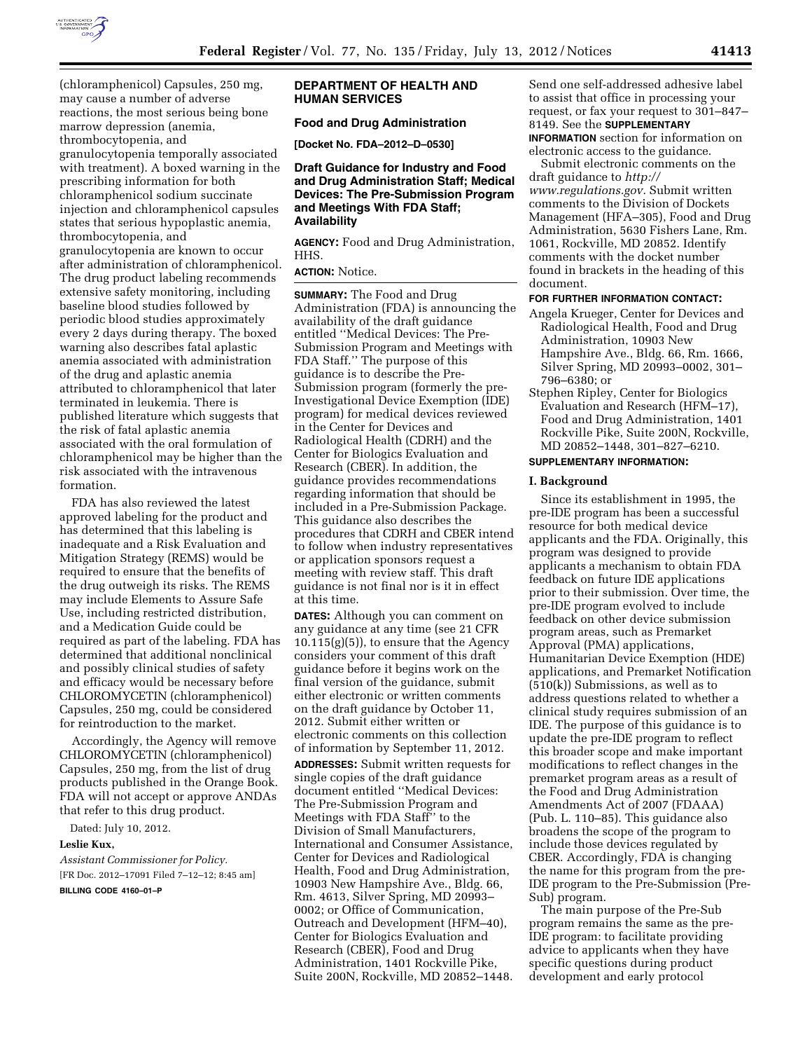

(chloramphenicol) Capsules, 250 mg, may cause a number of adverse reactions, the most serious being bone marrow depression (anemia, thrombocytopenia, and granulocytopenia temporally associated with treatment). A boxed warning in the prescribing information for both chloramphenicol sodium succinate injection and chloramphenicol capsules states that serious hypoplastic anemia, thrombocytopenia, and granulocytopenia are known to occur after administration of chloramphenicol. The drug product labeling recommends extensive safety monitoring, including baseline blood studies followed by periodic blood studies approximately every 2 days during therapy. The boxed warning also describes fatal aplastic anemia associated with administration of the drug and aplastic anemia attributed to chloramphenicol that later terminated in leukemia. There is published literature which suggests that the risk of fatal aplastic anemia associated with the oral formulation of chloramphenicol may be higher than the risk associated with the intravenous formation.

FDA has also reviewed the latest approved labeling for the product and has determined that this labeling is inadequate and a Risk Evaluation and Mitigation Strategy (REMS) would be required to ensure that the benefits of the drug outweigh its risks. The REMS may include Elements to Assure Safe Use, including restricted distribution, and a Medication Guide could be required as part of the labeling. FDA has determined that additional nonclinical and possibly clinical studies of safety and efficacy would be necessary before CHLOROMYCETIN (chloramphenicol) Capsules, 250 mg, could be considered for reintroduction to the market.

Accordingly, the Agency will remove CHLOROMYCETIN (chloramphenicol) Capsules, 250 mg, from the list of drug products published in the Orange Book. FDA will not accept or approve ANDAs that refer to this drug product.

Dated: July 10, 2012.

### **Leslie Kux,**

*Assistant Commissioner for Policy.*  [FR Doc. 2012–17091 Filed 7–12–12; 8:45 am]

**BILLING CODE 4160–01–P** 

## **DEPARTMENT OF HEALTH AND HUMAN SERVICES**

# **Food and Drug Administration**

**[Docket No. FDA–2012–D–0530]** 

## **Draft Guidance for Industry and Food and Drug Administration Staff; Medical Devices: The Pre-Submission Program and Meetings With FDA Staff; Availability**

**AGENCY:** Food and Drug Administration, HHS.

## **ACTION:** Notice.

**SUMMARY:** The Food and Drug Administration (FDA) is announcing the availability of the draft guidance entitled ''Medical Devices: The Pre-Submission Program and Meetings with FDA Staff.'' The purpose of this guidance is to describe the Pre-Submission program (formerly the pre-Investigational Device Exemption (IDE) program) for medical devices reviewed in the Center for Devices and Radiological Health (CDRH) and the Center for Biologics Evaluation and Research (CBER). In addition, the guidance provides recommendations regarding information that should be included in a Pre-Submission Package. This guidance also describes the procedures that CDRH and CBER intend to follow when industry representatives or application sponsors request a meeting with review staff. This draft guidance is not final nor is it in effect at this time.

**DATES:** Although you can comment on any guidance at any time (see 21 CFR 10.115(g)(5)), to ensure that the Agency considers your comment of this draft guidance before it begins work on the final version of the guidance, submit either electronic or written comments on the draft guidance by October 11, 2012. Submit either written or electronic comments on this collection of information by September 11, 2012. **ADDRESSES:** Submit written requests for single copies of the draft guidance document entitled ''Medical Devices: The Pre-Submission Program and Meetings with FDA Staff'' to the Division of Small Manufacturers, International and Consumer Assistance, Center for Devices and Radiological Health, Food and Drug Administration, 10903 New Hampshire Ave., Bldg. 66, Rm. 4613, Silver Spring, MD 20993– 0002; or Office of Communication, Outreach and Development (HFM–40), Center for Biologics Evaluation and Research (CBER), Food and Drug Administration, 1401 Rockville Pike, Suite 200N, Rockville, MD 20852–1448.

Send one self-addressed adhesive label to assist that office in processing your request, or fax your request to 301–847– 8149. See the **SUPPLEMENTARY INFORMATION** section for information on electronic access to the guidance.

Submit electronic comments on the draft guidance to *[http://](http://www.regulations.gov)  [www.regulations.gov.](http://www.regulations.gov)* Submit written comments to the Division of Dockets Management (HFA–305), Food and Drug Administration, 5630 Fishers Lane, Rm. 1061, Rockville, MD 20852. Identify comments with the docket number found in brackets in the heading of this document.

### **FOR FURTHER INFORMATION CONTACT:**

- Angela Krueger, Center for Devices and Radiological Health, Food and Drug Administration, 10903 New Hampshire Ave., Bldg. 66, Rm. 1666, Silver Spring, MD 20993–0002, 301– 796–6380; or
- Stephen Ripley, Center for Biologics Evaluation and Research (HFM–17), Food and Drug Administration, 1401 Rockville Pike, Suite 200N, Rockville, MD 20852–1448, 301–827–6210.

### **SUPPLEMENTARY INFORMATION:**

#### **I. Background**

Since its establishment in 1995, the pre-IDE program has been a successful resource for both medical device applicants and the FDA. Originally, this program was designed to provide applicants a mechanism to obtain FDA feedback on future IDE applications prior to their submission. Over time, the pre-IDE program evolved to include feedback on other device submission program areas, such as Premarket Approval (PMA) applications, Humanitarian Device Exemption (HDE) applications, and Premarket Notification (510(k)) Submissions, as well as to address questions related to whether a clinical study requires submission of an IDE. The purpose of this guidance is to update the pre-IDE program to reflect this broader scope and make important modifications to reflect changes in the premarket program areas as a result of the Food and Drug Administration Amendments Act of 2007 (FDAAA) (Pub. L. 110–85). This guidance also broadens the scope of the program to include those devices regulated by CBER. Accordingly, FDA is changing the name for this program from the pre-IDE program to the Pre-Submission (Pre-Sub) program.

The main purpose of the Pre-Sub program remains the same as the pre-IDE program: to facilitate providing advice to applicants when they have specific questions during product development and early protocol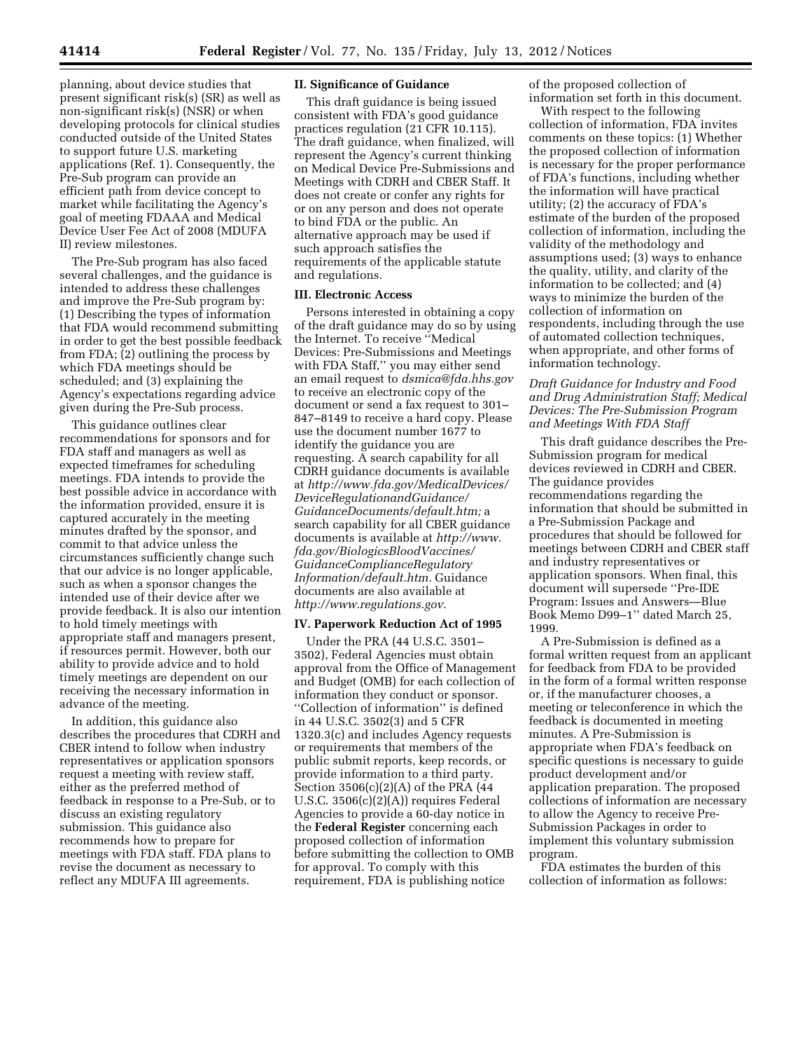planning, about device studies that present significant risk(s) (SR) as well as non-significant risk(s) (NSR) or when developing protocols for clinical studies conducted outside of the United States to support future U.S. marketing applications (Ref. 1). Consequently, the Pre-Sub program can provide an efficient path from device concept to market while facilitating the Agency's goal of meeting FDAAA and Medical Device User Fee Act of 2008 (MDUFA II) review milestones.

The Pre-Sub program has also faced several challenges, and the guidance is intended to address these challenges and improve the Pre-Sub program by: (1) Describing the types of information that FDA would recommend submitting in order to get the best possible feedback from FDA; (2) outlining the process by which FDA meetings should be scheduled; and (3) explaining the Agency's expectations regarding advice given during the Pre-Sub process.

This guidance outlines clear recommendations for sponsors and for FDA staff and managers as well as expected timeframes for scheduling meetings. FDA intends to provide the best possible advice in accordance with the information provided, ensure it is captured accurately in the meeting minutes drafted by the sponsor, and commit to that advice unless the circumstances sufficiently change such that our advice is no longer applicable, such as when a sponsor changes the intended use of their device after we provide feedback. It is also our intention to hold timely meetings with appropriate staff and managers present, if resources permit. However, both our ability to provide advice and to hold timely meetings are dependent on our receiving the necessary information in advance of the meeting.

In addition, this guidance also describes the procedures that CDRH and CBER intend to follow when industry representatives or application sponsors request a meeting with review staff, either as the preferred method of feedback in response to a Pre-Sub, or to discuss an existing regulatory submission. This guidance also recommends how to prepare for meetings with FDA staff. FDA plans to revise the document as necessary to reflect any MDUFA III agreements.

### **II. Significance of Guidance**

This draft guidance is being issued consistent with FDA's good guidance practices regulation (21 CFR 10.115). The draft guidance, when finalized, will represent the Agency's current thinking on Medical Device Pre-Submissions and Meetings with CDRH and CBER Staff. It does not create or confer any rights for or on any person and does not operate to bind FDA or the public. An alternative approach may be used if such approach satisfies the requirements of the applicable statute and regulations.

### **III. Electronic Access**

Persons interested in obtaining a copy of the draft guidance may do so by using the Internet. To receive ''Medical Devices: Pre-Submissions and Meetings with FDA Staff,'' you may either send an email request to *[dsmica@fda.hhs.gov](mailto:dsmica@fda.hhs.gov)*  to receive an electronic copy of the document or send a fax request to 301– 847–8149 to receive a hard copy. Please use the document number 1677 to identify the guidance you are requesting. A search capability for all CDRH guidance documents is available at *[http://www.fda.gov/MedicalDevices/](http://www.fda.gov/MedicalDevices/DeviceRegulationandGuidance/GuidanceDocuments/default.htm) [DeviceRegulationandGuidance/](http://www.fda.gov/MedicalDevices/DeviceRegulationandGuidance/GuidanceDocuments/default.htm) [GuidanceDocuments/default.htm;](http://www.fda.gov/MedicalDevices/DeviceRegulationandGuidance/GuidanceDocuments/default.htm)* a search capability for all CBER guidance documents is available at *[http://www.](http://www.fda.gov/BiologicsBloodVaccines/GuidanceComplianceRegulatoryInformation/default.htm) [fda.gov/BiologicsBloodVaccines/](http://www.fda.gov/BiologicsBloodVaccines/GuidanceComplianceRegulatoryInformation/default.htm) [GuidanceComplianceRegulatory](http://www.fda.gov/BiologicsBloodVaccines/GuidanceComplianceRegulatoryInformation/default.htm) [Information/default.htm.](http://www.fda.gov/BiologicsBloodVaccines/GuidanceComplianceRegulatoryInformation/default.htm)* Guidance documents are also available at *[http://www.regulations.gov.](http://www.regulations.gov)* 

## **IV. Paperwork Reduction Act of 1995**

Under the PRA (44 U.S.C. 3501– 3502), Federal Agencies must obtain approval from the Office of Management and Budget (OMB) for each collection of information they conduct or sponsor. ''Collection of information'' is defined in 44 U.S.C. 3502(3) and 5 CFR 1320.3(c) and includes Agency requests or requirements that members of the public submit reports, keep records, or provide information to a third party. Section 3506(c)(2)(A) of the PRA (44 U.S.C. 3506(c)(2)(A)) requires Federal Agencies to provide a 60-day notice in the **Federal Register** concerning each proposed collection of information before submitting the collection to OMB for approval. To comply with this requirement, FDA is publishing notice

of the proposed collection of information set forth in this document.

With respect to the following collection of information, FDA invites comments on these topics: (1) Whether the proposed collection of information is necessary for the proper performance of FDA's functions, including whether the information will have practical utility; (2) the accuracy of FDA's estimate of the burden of the proposed collection of information, including the validity of the methodology and assumptions used; (3) ways to enhance the quality, utility, and clarity of the information to be collected; and (4) ways to minimize the burden of the collection of information on respondents, including through the use of automated collection techniques, when appropriate, and other forms of information technology.

## *Draft Guidance for Industry and Food and Drug Administration Staff; Medical Devices: The Pre-Submission Program and Meetings With FDA Staff*

This draft guidance describes the Pre-Submission program for medical devices reviewed in CDRH and CBER. The guidance provides recommendations regarding the information that should be submitted in a Pre-Submission Package and procedures that should be followed for meetings between CDRH and CBER staff and industry representatives or application sponsors. When final, this document will supersede ''Pre-IDE Program: Issues and Answers—Blue Book Memo D99–1'' dated March 25, 1999.

A Pre-Submission is defined as a formal written request from an applicant for feedback from FDA to be provided in the form of a formal written response or, if the manufacturer chooses, a meeting or teleconference in which the feedback is documented in meeting minutes. A Pre-Submission is appropriate when FDA's feedback on specific questions is necessary to guide product development and/or application preparation. The proposed collections of information are necessary to allow the Agency to receive Pre-Submission Packages in order to implement this voluntary submission program.

FDA estimates the burden of this collection of information as follows: